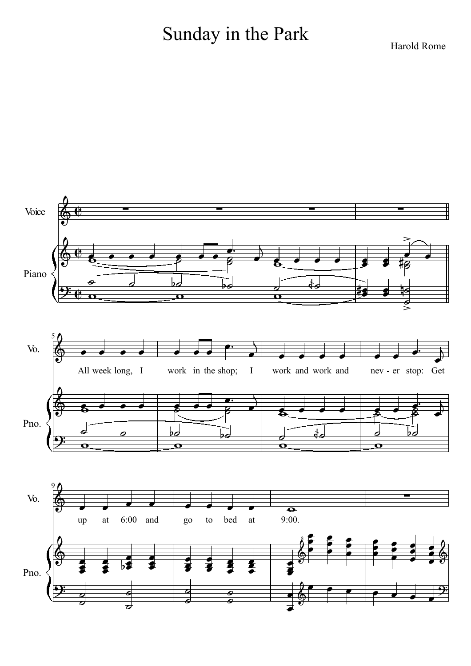## Sunday in the Park

Harold Rome

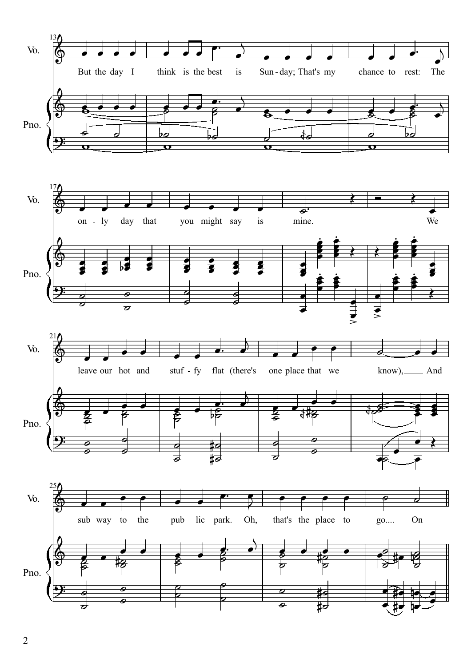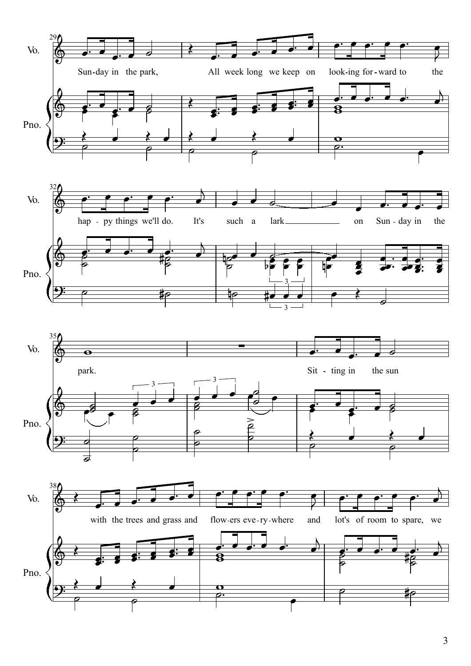

3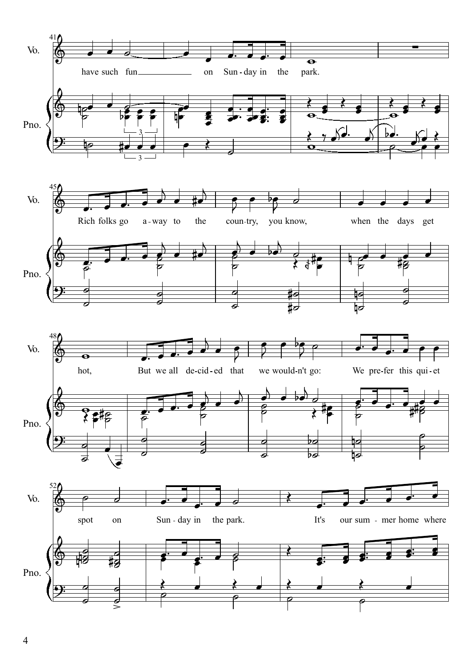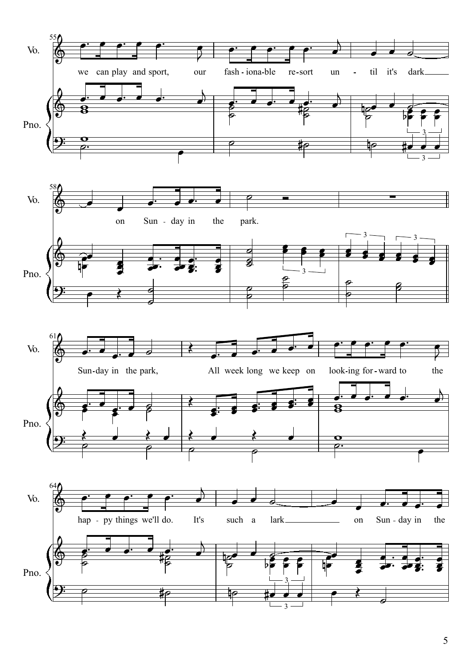

5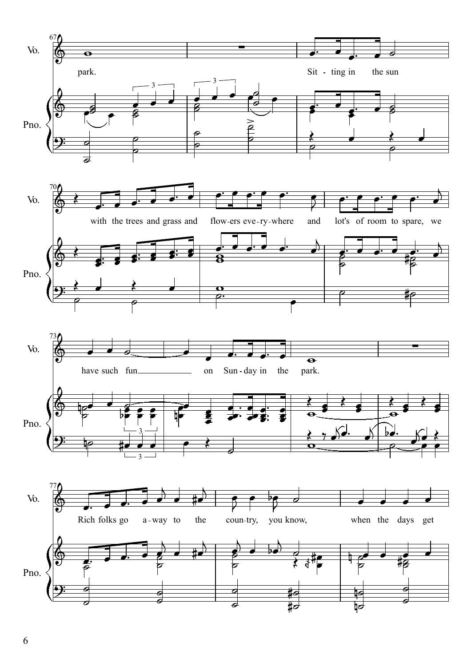